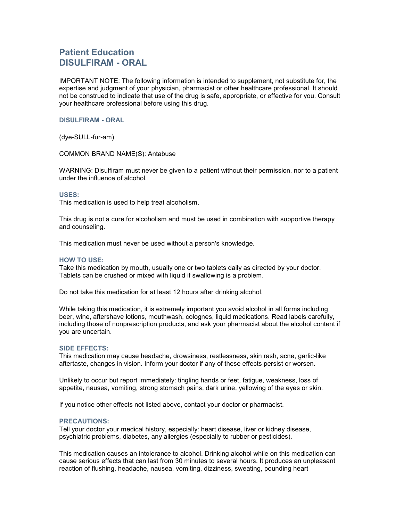# Patient Education DISULFIRAM - ORAL

IMPORTANT NOTE: The following information is intended to supplement, not substitute for, the expertise and judgment of your physician, pharmacist or other healthcare professional. It should not be construed to indicate that use of the drug is safe, appropriate, or effective for you. Consult your healthcare professional before using this drug.

## DISULFIRAM - ORAL

(dye-SULL-fur-am)

COMMON BRAND NAME(S): Antabuse

WARNING: Disulfiram must never be given to a patient without their permission, nor to a patient under the influence of alcohol.

#### USES:

This medication is used to help treat alcoholism.

This drug is not a cure for alcoholism and must be used in combination with supportive therapy and counseling.

This medication must never be used without a person's knowledge.

### HOW TO USE:

Take this medication by mouth, usually one or two tablets daily as directed by your doctor. Tablets can be crushed or mixed with liquid if swallowing is a problem.

Do not take this medication for at least 12 hours after drinking alcohol.

While taking this medication, it is extremely important you avoid alcohol in all forms including beer, wine, aftershave lotions, mouthwash, colognes, liquid medications. Read labels carefully, including those of nonprescription products, and ask your pharmacist about the alcohol content if you are uncertain.

#### SIDE EFFECTS:

This medication may cause headache, drowsiness, restlessness, skin rash, acne, garlic-like aftertaste, changes in vision. Inform your doctor if any of these effects persist or worsen.

Unlikely to occur but report immediately: tingling hands or feet, fatigue, weakness, loss of appetite, nausea, vomiting, strong stomach pains, dark urine, yellowing of the eyes or skin.

If you notice other effects not listed above, contact your doctor or pharmacist.

## PRECAUTIONS:

Tell your doctor your medical history, especially: heart disease, liver or kidney disease, psychiatric problems, diabetes, any allergies (especially to rubber or pesticides).

This medication causes an intolerance to alcohol. Drinking alcohol while on this medication can cause serious effects that can last from 30 minutes to several hours. It produces an unpleasant reaction of flushing, headache, nausea, vomiting, dizziness, sweating, pounding heart